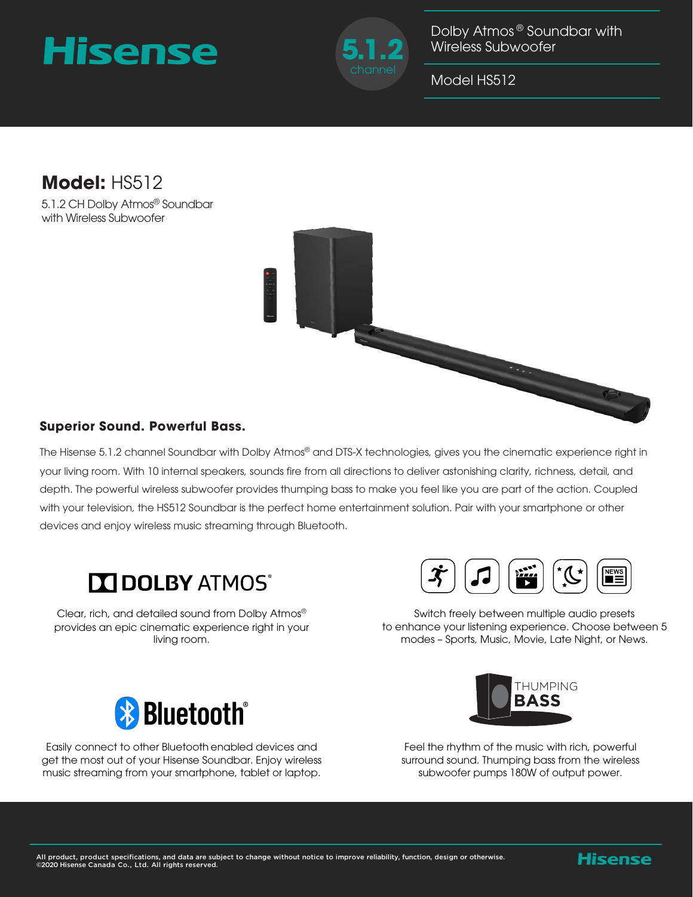## Hisense



Dolby Atmos ® Soundbar with Wireless Subwoofer

Model HS512

## **Model:** HS512

5.1.2 CH Dolby Atmos® Soundbar with Wireless Subwoofer



The Hisense 5.1.2 channel Soundbar with Dolby Atmos® and DTS-X technologies, gives you the cinematic experience right in your living room. With 10 internal speakers, sounds fire from all directions to deliver astonishing clarity, richness, detail, and depth. The powerful wireless subwoofer provides thumping bass to make you feel like you are part of the action. Coupled with your television, the HS512 Soundbar is the perfect home entertainment solution. Pair with your smartphone or other devices and enjoy wireless music streaming through Bluetooth.



Clear, rich, and detailed sound from Dolby Atmos® provides an epic cinematic experience right in your living room.



Switch freely between multiple audio presets to enhance your listening experience. Choose between 5 modes – Sports, Music, Movie, Late Night, or News.



Easily connect to other Bluetooth enabled devices and get the most out of your Hisense Soundbar. Enjoy wireless music streaming from your smartphone, tablet or laptop.



Feel the rhythm of the music with rich, powerful surround sound. Thumping bass from the wireless subwoofer pumps 180W of output power.